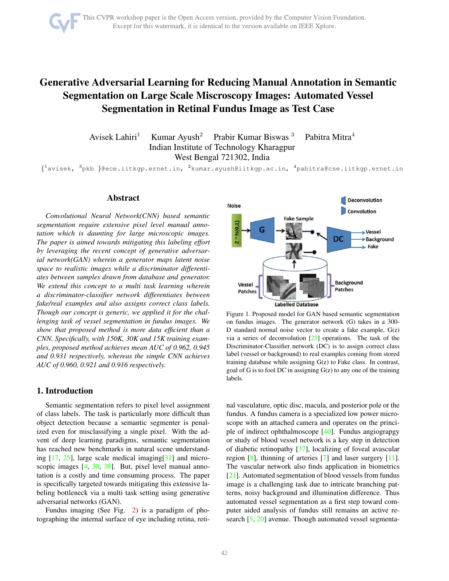# <span id="page-0-1"></span>Generative Adversarial Learning for Reducing Manual Annotation in Semantic Segmentation on Large Scale Miscroscopy Images: Automated Vessel Segmentation in Retinal Fundus Image as Test Case

Avisek Lahiri<sup>1</sup> Kumar Ayush<sup>2</sup> Prabir Kumar Biswas<sup>3</sup> Pabitra Mitra<sup>4</sup> Indian Institute of Technology Kharagpur West Bengal 721302, India

 $\{\begin{smallmatrix} 1\end{smallmatrix}$ avisek,  $\begin{smallmatrix} 3\end{smallmatrix}$ pkb }@ece.iitkgp.ernet.in,  $\begin{smallmatrix} 2\end{smallmatrix}$ kumar.ayush@iitkgp.ac.in,  $\begin{smallmatrix} 4\end{smallmatrix}$ pabitra@cse.iitkgp.ernet.in

# Abstract

*Convolutional Neural Network(CNN) based semantic segmentation require extensive pixel level manual annotation which is daunting for large microscopic images. The paper is aimed towards mitigating this labeling effort by leveraging the recent concept of generative adversarial network(GAN) wherein a generator maps latent noise space to realistic images while a discriminator differentiates between samples drawn from database and generator. We extend this concept to a multi task learning wherein a discriminator-classifier network differentiates between fake/real examples and also assigns correct class labels. Though our concept is generic, we applied it for the challenging task of vessel segmentation in fundus images. We show that proposed method is more data efficient than a CNN. Specifically, with 150K, 30K and 15K training examples, proposed method achieves mean AUC of 0.962, 0.945 and 0.931 respectively, whereas the simple CNN achieves AUC of 0.960, 0.921 and 0.916 respectively.*

## 1. Introduction

Semantic segmentation refers to pixel level assignment of class labels. The task is particularly more difficult than object detection because a semantic segmenter is penalized even for misclassifying a single pixel. With the advent of deep learning paradigms, semantic segmentation has reached new benchmarks in natural scene understanding  $[17, 25]$  $[17, 25]$ , large scale medical imaging  $[31]$  and micro-scopic images [\[4,](#page-4-0) [30,](#page-6-2) [38\]](#page-6-3). But, pixel level manual annotation is a costly and time consuming process. The paper is specifically targeted towards mitigating this extensive labeling bottleneck via a multi task setting using generative adversarial networks (GAN).

Fundus imaging (See Fig. [2\)](#page-1-0) is a paradigm of photographing the internal surface of eye including retina, reti-



<span id="page-0-0"></span>Figure 1. Proposed model for GAN based semantic segmentation on fundus images. The generator network (G) takes in a 300- D standard normal noise vector to create a fake example, G(z) via a series of deconvolution  $[25]$  operations. The task of the Discriminator-Classifier network (DC) is to assign correct class label (vessel or background) to real examples coming from stored training database while assigning G(z) to Fake class. In contrast, goal of G is to fool DC in assigning G(z) to any one of the training labels.

nal vasculature, optic disc, macula, and posterior pole or the fundus. A fundus camera is a specialized low power microscope with an attached camera and operates on the principle of indirect ophthalmoscope [\[40\]](#page-6-4). Fundus angiograpgy or study of blood vessel network is a key step in detection of diabetic retinopathy [\[37\]](#page-6-5), localizing of foveal avascular region [\[8\]](#page-4-1), thinning of arteries [\[7\]](#page-4-2) and laser surgery [\[11\]](#page-5-1). The vascular network also finds application in biometrics [\[21\]](#page-6-6). Automated segmentation of blood vessels from fundus image is a challenging task due to intricate branching patterns, noisy background and illumination difference. Thus automated vessel segmentation as a first step toward computer aided analysis of fundus still remains an active research [\[5,](#page-4-3) [20\]](#page-6-7) avenue. Though automated vessel segmenta-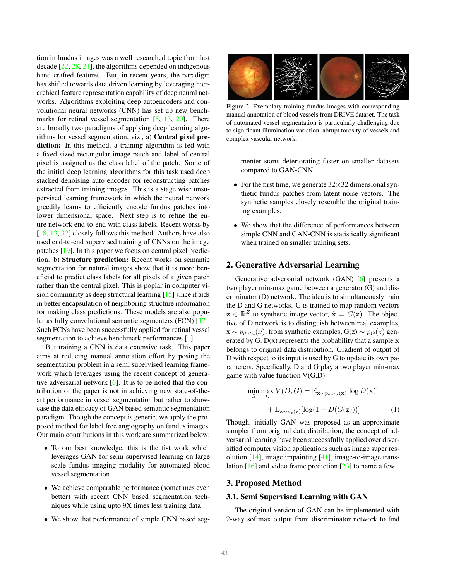<span id="page-1-2"></span>tion in fundus images was a well researched topic from last decade [\[22,](#page-6-8) [28,](#page-6-9) [24\]](#page-6-10), the algorithms depended on indigenous hand crafted features. But, in recent years, the paradigm has shifted towards data driven learning by leveraging hierarchical feature representation capability of deep neural networks. Algorithms exploiting deep autoencoders and convolutional neural networks (CNN) has set up new benchmarks for retinal vessel segmentation  $[5, 13, 20]$  $[5, 13, 20]$  $[5, 13, 20]$  $[5, 13, 20]$ . There are broadly two paradigms of applying deep learning algorithms for vessel segmentation, viz., a) Central pixel prediction: In this method, a training algorithm is fed with a fixed sized rectangular image patch and label of central pixel is assigned as the class label of the patch. Some of the initial deep learning algorithms for this task used deep stacked denoising auto encoder for reconstructing patches extracted from training images. This is a stage wise unsupervised learning framework in which the neural network greedily learns to efficiently encode fundus patches into lower dimensional space. Next step is to refine the entire network end-to-end with class labels. Recent works by [\[18,](#page-5-3) [13,](#page-5-2) [32\]](#page-6-11) closely follows this method. Authors have also used end-to-end supervised training of CNNs on the image patches [\[19\]](#page-5-4). In this paper we focus on central pixel prediction. b) Structure prediction: Recent works on semantic segmentation for natural images show that it is more beneficial to predict class labels for all pixels of a given patch rather than the central pixel. This is poplar in computer vision community as deep structural learning [\[15\]](#page-5-5) since it aids in better encapsulation of neighboring structure information for making class predictions. These models are also popular as fully convolutional semantic segmenters (FCN) [\[17\]](#page-5-0). Such FCNs have been successfully applied for retinal vessel segmentation to achieve benchmark performances [\[1\]](#page-4-4).

But training a CNN is data extensive task. This paper aims at reducing manual annotation effort by posing the segmentation problem in a semi supervised learning framework which leverages using the recent concept of generative adversarial network  $[6]$ . It is to be noted that the contribution of the paper is not in achieving new state-of-theart performance in vessel segmentation but rather to showcase the data efficacy of GAN based semantic segmentation paradigm. Though the concept is generic, we apply the proposed method for label free angiography on fundus images. Our main contributions in this work are summarized below:

- To our best knowledge, this is the fist work which leverages GAN for semi supervised learning on large scale fundus imaging modality for automated blood vessel segmentation.
- We achieve comparable performance (sometimes even better) with recent CNN based segmentation techniques while using upto 9X times less training data
- We show that performance of simple CNN based seg-



<span id="page-1-0"></span>Figure 2. Exemplary training fundus images with corresponding manual annotation of blood vessels from DRIVE dataset. The task of automated vessel segmentation is particularly challenging due to significant illumination variation, abrupt torosity of vessels and complex vascular network.

menter starts deteriorating faster on smaller datasets compared to GAN-CNN

- For the first time, we generate  $32 \times 32$  dimensional synthetic fundus patches from latent noise vectors. The synthetic samples closely resemble the original training examples.
- We show that the difference of performances between simple CNN and GAN-CNN is statistically significant when trained on smaller training sets.

## 2. Generative Adversarial Learning

Generative adversarial network (GAN) [\[6\]](#page-4-5) presents a two player min-max game between a generator (G) and discriminator (D) network. The idea is to simultaneously train the D and G networks. G is trained to map random vectors  $z \in \mathbb{R}^Z$  to synthetic image vector,  $\tilde{x} = G(z)$ . The objective of D network is to distinguish between real examples,  $x \sim p_{data}(x)$ , from synthetic examples,  $G(z) \sim p_G(z)$  generated by G.  $D(x)$  represents the probability that a sample  $x$ belongs to original data distribution. Gradient of output of D with respect to its input is used by G to update its own parameters. Specifically, D and G play a two player min-max game with value function V(G,D):

<span id="page-1-1"></span>
$$
\min_{G} \max_{D} V(D, G) = \mathbb{E}_{\mathbf{x} \sim p_{data}(\mathbf{x})} [\log D(\mathbf{x})]
$$

$$
+ \mathbb{E}_{\mathbf{z} \sim p_{z}(\mathbf{z})} [\log(1 - D(G(\mathbf{z})))] \tag{1}
$$

Though, initially GAN was proposed as an approximate sampler from original data distribution, the concept of adversarial learning have been successfully applied over diversified computer vision applications such as image super resolution  $[14]$ , image impainting  $[41]$ , image-to-image translation [\[16\]](#page-5-7) and video frame prediction [\[23\]](#page-6-13) to name a few.

## 3. Proposed Method

#### 3.1. Semi Supervised Learning with GAN

The original version of GAN can be implemented with 2-way softmax output from discriminator network to find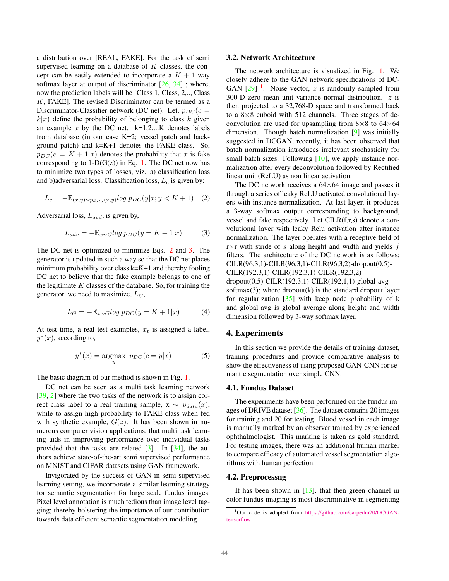<span id="page-2-4"></span>a distribution over [REAL, FAKE]. For the task of semi supervised learning on a database of  $K$  classes, the concept can be easily extended to incorporate a  $K + 1$ -way softmax layer at output of discriminator  $[26, 34]$  $[26, 34]$ ; where, now the prediction labels will be [Class 1, Class, 2,.., Class  $K$ , FAKE]. The revised Discriminator can be termed as a Discriminator-Classifier network (DC net). Let,  $p_{DC}(c =$  $k|x|$  define the probability of belonging to class k given an example x by the DC net.  $k=1,2,...K$  denotes labels from database (in our case K=2; vessel patch and background patch) and k=K+1 denotes the FAKE class. So,  $p_{DC}(c = K + 1|x)$  denotes the probability that x is fake corresponding to  $1-D(G(z))$  in Eq. [1.](#page-1-1) The DC net now has to minimize two types of losses, viz. a) classification loss and b)adversarial loss. Classification loss,  $L_c$  is given by:

<span id="page-2-0"></span>
$$
L_c = -\mathbb{E}_{(x,y)\sim p_{data}(x,y)} log p_{DC}(y|x; y < K+1) \quad (2)
$$

Adversarial loss,  $L_{avd}$ , is given by,

<span id="page-2-1"></span>
$$
L_{adv} = -\mathbb{E}_{x \sim G} log p_{DC}(y = K + 1|x)
$$
 (3)

The DC net is optimized to minimize Eqs. [2](#page-2-0) and [3.](#page-2-1) The generator is updated in such a way so that the DC net places minimum probability over class k=K+1 and thereby fooling DC net to believe that the fake example belongs to one of the legitimate  $K$  classes of the database. So, for training the generator, we need to maximize,  $L_G$ ,

<span id="page-2-3"></span>
$$
L_G = -\mathbb{E}_{x \sim G} \log p_{DC}(y = K + 1|x) \tag{4}
$$

At test time, a real test examples,  $x_t$  is assigned a label,  $y^*(x)$ , according to,

$$
y^*(x) = \underset{y}{\text{argmax}} \ p_{DC}(c = y|x) \tag{5}
$$

The basic diagram of our method is shown in Fig. [1.](#page-0-0)

DC net can be seen as a multi task learning network [\[39,](#page-6-16) [2\]](#page-4-6) where the two tasks of the network is to assign correct class label to a real training sample,  $x \sim p_{data}(x)$ , while to assign high probability to FAKE class when fed with synthetic example,  $G(z)$ . It has been shown in numerous computer vision applications, that multi task learning aids in improving performance over individual tasks provided that the tasks are related [\[3\]](#page-4-7). In [\[34\]](#page-6-15), the authors achieve state-of-the-art semi supervised performance on MNIST and CIFAR datasets using GAN framework.

Invigorated by the success of GAN in semi supervised learning setting, we incorporate a similar learning strategy for semantic segmentation for large scale fundus images. Pixel level annotation is much tedious than image level tagging; thereby bolstering the importance of our contribution towards data efficient semantic segmentation modeling.

#### 3.2. Network Architecture

The network architecture is visualized in Fig. [1.](#page-0-0) We closely adhere to the GAN network specifications of DC-GAN  $[29]$ <sup>[1](#page-2-2)</sup>. Noise vector, z is randomly sampled from 300-D zero mean unit variance normal distribution.  $z$  is then projected to a 32,768-D space and transformed back to a  $8\times 8$  cuboid with 512 channels. Three stages of deconvolution are used for upsampling from  $8\times 8$  to  $64\times 64$ dimension. Though batch normalization [\[9\]](#page-5-8) was initially suggested in DCGAN, recently, it has been observed that batch normalization introduces irrelevant stochasticity for small batch sizes. Following  $[10]$ , we apply instance normalization after every deconvolution followed by Rectified linear unit (ReLU) as non linear activation.

The DC network receives a  $64\times64$  image and passes it through a series of leaky ReLU activated convolutional layers with instance normalization. At last layer, it produces a 3-way softmax output corresponding to background, vessel and fake respectively. Let CILR(f,r,s) denote a convolutional layer with leaky Relu activation after instance normalization. The layer operates with a receptive field of  $r \times r$  with stride of s along height and width and yields  $f$ filters. The architecture of the DC network is as follows: CILR(96,3,1)-CILR(96,3,1)-CILR(96,3,2)-dropout(0.5)- CILR(192,3,1)-CILR(192,3,1)-CILR(192,3,2) dropout(0.5)-CILR(192,3,1)-CILR(192,1,1)-global avgsoftmax $(3)$ ; where dropout $(k)$  is the standard dropout layer for regularization  $[35]$  with keep node probability of k and global avg is global average along height and width dimension followed by 3-way softmax layer.

## 4. Experiments

In this section we provide the details of training dataset, training procedures and provide comparative analysis to show the effectiveness of using proposed GAN-CNN for semantic segmentation over simple CNN.

#### 4.1. Fundus Dataset

The experiments have been performed on the fundus images of DRIVE dataset [\[36\]](#page-6-19). The dataset contains 20 images for training and 20 for testing. Blood vessel in each image is manually marked by an observer trained by experienced ophthalmologist. This marking is taken as gold standard. For testing images, there was an additional human marker to compare efficacy of automated vessel segmentation algorithms with human perfection.

#### 4.2. Preprocessng

It has been shown in  $[13]$ , that then green channel in color fundus imaging is most discriminative in segmenting

<span id="page-2-2"></span><sup>1</sup>Our code is adapted from [https://github.com/carpedm20/DCGAN](https://github.com/carpedm20/DCGAN-tensorflow)[tensorflow](https://github.com/carpedm20/DCGAN-tensorflow)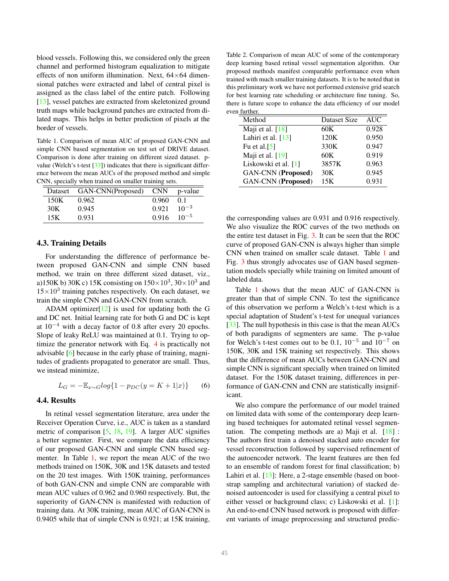<span id="page-3-2"></span>blood vessels. Following this, we considered only the green channel and performed histogram equalization to mitigate effects of non uniform illumination. Next,  $64\times64$  dimensional patches were extracted and label of central pixel is assigned as the class label of the entire patch. Following [\[13\]](#page-5-2), vessel patches are extracted from skeletonized ground truth maps while background patches are extracted from dilated maps. This helps in better prediction of pixels at the border of vessels.

<span id="page-3-0"></span>Table 1. Comparison of mean AUC of proposed GAN-CNN and simple CNN based segmentation on test set of DRIVE dataset. Comparison is done after training on different sized dataset. p-value (Welch's t-test [\[33\]](#page-6-20)) indicates that there is significant difference between the mean AUCs of the proposed method and simple CNN, specially when trained on smaller training sets.

|      | Dataset GAN-CNN(Proposed) |                   | $CNN$ p-value  |
|------|---------------------------|-------------------|----------------|
| 150K | 0.962                     | 0.960             | 0 <sub>1</sub> |
| 30K  | 0.945                     | 0.921             | $10^{-3}$      |
| 15K  | 0.931                     | $0.916$ $10^{-5}$ |                |

## 4.3. Training Details

For understanding the difference of performance between proposed GAN-CNN and simple CNN based method, we train on three different sized dataset, viz., a)150K b) 30K c) 15K consisting on  $150\times10^3$ ,  $30\times10^3$  and  $15\times10^3$  training patches respectively. On each dataset, we train the simple CNN and GAN-CNN from scratch.

ADAM optimizer $[12]$  is used for updating both the G and DC net. Initial learning rate for both G and DC is kept at 10<sup>−</sup><sup>4</sup> with a decay factor of 0.8 after every 20 epochs. Slope of leaky ReLU was maintained at 0.1. Trying to optimize the generator network with Eq. [4](#page-2-3) is practically not advisable [\[6\]](#page-4-5) because in the early phase of training, magnitudes of gradients propagated to generator are small. Thus, we instead minimize,

$$
L_G = -\mathbb{E}_{x \sim G} log\{1 - p_{DC}(y = K + 1|x)\} \tag{6}
$$

#### 4.4. Results

In retinal vessel segmentation literature, area under the Receiver Operation Curve, i.e., AUC is taken as a standard metric of comparison [\[5,](#page-4-3) [18,](#page-5-3) [19\]](#page-5-4). A larger AUC signifies a better segmenter. First, we compare the data efficiency of our proposed GAN-CNN and simple CNN based segmenter. In Table [1,](#page-3-0) we report the mean AUC of the two methods trained on 150K, 30K and 15K datasets and tested on the 20 test images. With 150K training, performances of both GAN-CNN and simple CNN are comparable with mean AUC values of 0.962 and 0.960 respectively. But, the superiority of GAN-CNN is manifested with reduction of training data. At 30K training, mean AUC of GAN-CNN is 0.9405 while that of simple CNN is 0.921; at 15K training,

<span id="page-3-1"></span>Table 2. Comparison of mean AUC of some of the contemporary deep learning based retinal vessel segmentation algorithm. Our proposed methods manifest comparable performance even when trained with much smaller training datasets. It is to be noted that in this preliminary work we have not performed extensive grid search for best learning rate scheduling or architecture fine tuning. So, there is future scope to enhance the data efficiency of our model even further.

| Method                    | Dataset Size | <b>AUC</b> |  |
|---------------------------|--------------|------------|--|
| Maji et al. $[18]$        | 60K          | 0.928      |  |
| Lahiri et al. [13]        | 120K         | 0.950      |  |
| Fu et al. $[5]$           | 330K         | 0.947      |  |
| Maji et al. [19]          | 60K          | 0.919      |  |
| Liskowski et al. $[1]$    | 3857K        | 0.963      |  |
| <b>GAN-CNN</b> (Proposed) | 30K          | 0.945      |  |
| <b>GAN-CNN</b> (Proposed) | 15K          | 0.931      |  |

the corresponding values are 0.931 and 0.916 respectively. We also visualize the ROC curves of the two methods on the entire test dataset in Fig. [3.](#page-4-8) It can be seen that the ROC curve of proposed GAN-CNN is always higher than simple CNN when trained on smaller scale dataset. Table [1](#page-3-0) and Fig. [3](#page-4-8) thus strongly advocates use of GAN based segmentation models specially while training on limited amount of labeled data.

Table [1](#page-3-0) shows that the mean AUC of GAN-CNN is greater than that of simple CNN. To test the significance of this observation we perform a Welch's t-test which is a special adaptation of Student's t-test for unequal variances [\[33\]](#page-6-20). The null hypothesis in this case is that the mean AUCs of both paradigms of segmenters are same. The p-value for Welch's t-test comes out to be 0.1,  $10^{-5}$  and  $10^{-7}$  on 150K, 30K and 15K training set respectively. This shows that the difference of mean AUCs between GAN-CNN and simple CNN is significant specially when trained on limited dataset. For the 150K dataset training, differences in performance of GAN-CNN and CNN are statistically insignificant.

We also compare the performance of our model trained on limited data with some of the contemporary deep learning based techniques for automated retinal vessel segmentation. The competing methods are a) Maji et al.  $[18]$ : The authors first train a denoised stacked auto encoder for vessel reconstruction followed by supervised refinement of the autoencoder network. The learnt features are then fed to an ensemble of random forest for final classification; b) Lahiri et al. [\[13\]](#page-5-2): Here, a 2-stage ensemble (based on bootstrap sampling and architectural variation) of stacked denoised autoencoder is used for classifying a central pixel to either vessel or background class; c) Liskowski et al. [\[1\]](#page-4-4): An end-to-end CNN based network is proposed with different variants of image preprocessing and structured predic-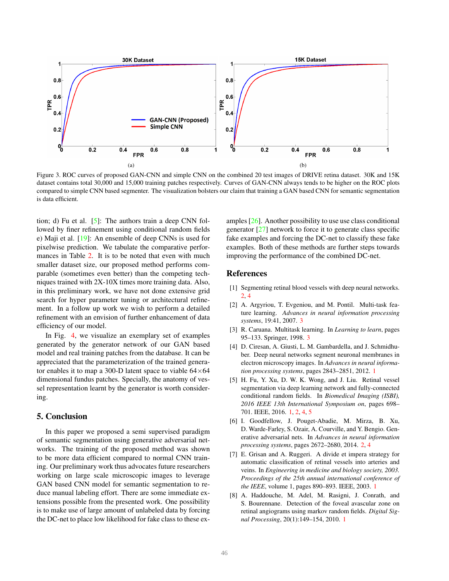<span id="page-4-9"></span>

<span id="page-4-8"></span>Figure 3. ROC curves of proposed GAN-CNN and simple CNN on the combined 20 test images of DRIVE retina dataset. 30K and 15K dataset contains total 30,000 and 15,000 training patches respectively. Curves of GAN-CNN always tends to be higher on the ROC plots compared to simple CNN based segmenter. The visualization bolsters our claim that training a GAN based CNN for semantic segmentation is data efficient.

tion; d) Fu et al. [\[5\]](#page-4-3): The authors train a deep CNN followed by finer refinement using conditional random fields e) Maji et al. [\[19\]](#page-5-4): An ensemble of deep CNNs is used for pixelwise prediction. We tabulate the comparative perfor-mances in Table [2.](#page-3-1) It is to be noted that even with much smaller dataset size, our proposed method performs comparable (sometimes even better) than the competing techniques trained with 2X-10X times more training data. Also, in this preliminary work, we have not done extensive grid search for hyper parameter tuning or architectural refinement. In a follow up work we wish to perform a detailed refinement with an envision of further enhancement of data efficiency of our model.

In Fig. [4,](#page-5-11) we visualize an exemplary set of examples generated by the generator network of our GAN based model and real training patches from the database. It can be appreciated that the parameterization of the trained generator enables it to map a 300-D latent space to viable  $64\times64$ dimensional fundus patches. Specially, the anatomy of vessel representation learnt by the generator is worth considering.

## 5. Conclusion

In this paper we proposed a semi supervised paradigm of semantic segmentation using generative adversarial networks. The training of the proposed method was shown to be more data efficient compared to normal CNN training. Our preliminary work thus advocates future researchers working on large scale microscopic images to leverage GAN based CNN model for semantic segmentation to reduce manual labeling effort. There are some immediate extensions possible from the presented work. One possibility is to make use of large amount of unlabeled data by forcing the DC-net to place low likelihood for fake class to these examples [\[26\]](#page-6-14). Another possibility to use use class conditional generator [\[27\]](#page-6-21) network to force it to generate class specific fake examples and forcing the DC-net to classify these fake examples. Both of these methods are further steps towards improving the performance of the combined DC-net.

## References

- <span id="page-4-4"></span>[1] Segmenting retinal blood vessels with deep neural networks. [2,](#page-1-2) [4](#page-3-2)
- <span id="page-4-6"></span>[2] A. Argyriou, T. Evgeniou, and M. Pontil. Multi-task feature learning. *Advances in neural information processing systems*, 19:41, 2007. [3](#page-2-4)
- <span id="page-4-7"></span>[3] R. Caruana. Multitask learning. In *Learning to learn*, pages 95–133. Springer, 1998. [3](#page-2-4)
- <span id="page-4-0"></span>[4] D. Ciresan, A. Giusti, L. M. Gambardella, and J. Schmidhuber. Deep neural networks segment neuronal membranes in electron microscopy images. In *Advances in neural information processing systems*, pages 2843–2851, 2012. [1](#page-0-1)
- <span id="page-4-3"></span>[5] H. Fu, Y. Xu, D. W. K. Wong, and J. Liu. Retinal vessel segmentation via deep learning network and fully-connected conditional random fields. In *Biomedical Imaging (ISBI), 2016 IEEE 13th International Symposium on*, pages 698– 701. IEEE, 2016. [1,](#page-0-1) [2,](#page-1-2) [4,](#page-3-2) [5](#page-4-9)
- <span id="page-4-5"></span>[6] I. Goodfellow, J. Pouget-Abadie, M. Mirza, B. Xu, D. Warde-Farley, S. Ozair, A. Courville, and Y. Bengio. Generative adversarial nets. In *Advances in neural information processing systems*, pages 2672–2680, 2014. [2,](#page-1-2) [4](#page-3-2)
- <span id="page-4-2"></span>[7] E. Grisan and A. Ruggeri. A divide et impera strategy for automatic classification of retinal vessels into arteries and veins. In *Engineering in medicine and biology society, 2003. Proceedings of the 25th annual international conference of the IEEE*, volume 1, pages 890–893. IEEE, 2003. [1](#page-0-1)
- <span id="page-4-1"></span>[8] A. Haddouche, M. Adel, M. Rasigni, J. Conrath, and S. Bourennane. Detection of the foveal avascular zone on retinal angiograms using markov random fields. *Digital Signal Processing*, 20(1):149–154, 2010. [1](#page-0-1)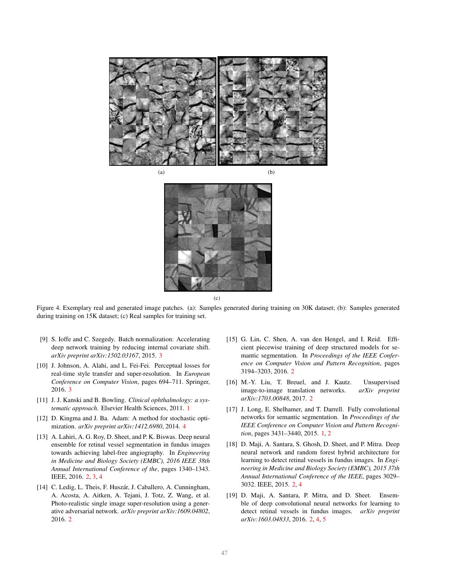



 $(c)$ 

<span id="page-5-11"></span>Figure 4. Exemplary real and generated image patches. (a): Samples generated during training on 30K dataset; (b): Samples generated during training on 15K dataset; (c) Real samples for training set.

- <span id="page-5-8"></span>[9] S. Ioffe and C. Szegedy. Batch normalization: Accelerating deep network training by reducing internal covariate shift. *arXiv preprint arXiv:1502.03167*, 2015. [3](#page-2-4)
- <span id="page-5-9"></span>[10] J. Johnson, A. Alahi, and L. Fei-Fei. Perceptual losses for real-time style transfer and super-resolution. In *European Conference on Computer Vision*, pages 694–711. Springer, 2016. [3](#page-2-4)
- <span id="page-5-1"></span>[11] J. J. Kanski and B. Bowling. *Clinical ophthalmology: a systematic approach*. Elsevier Health Sciences, 2011. [1](#page-0-1)
- <span id="page-5-10"></span>[12] D. Kingma and J. Ba. Adam: A method for stochastic optimization. *arXiv preprint arXiv:1412.6980*, 2014. [4](#page-3-2)
- <span id="page-5-2"></span>[13] A. Lahiri, A. G. Roy, D. Sheet, and P. K. Biswas. Deep neural ensemble for retinal vessel segmentation in fundus images towards achieving label-free angiography. In *Engineering in Medicine and Biology Society (EMBC), 2016 IEEE 38th Annual International Conference of the*, pages 1340–1343. IEEE, 2016. [2,](#page-1-2) [3,](#page-2-4) [4](#page-3-2)
- <span id="page-5-6"></span>[14] C. Ledig, L. Theis, F. Huszár, J. Caballero, A. Cunningham, A. Acosta, A. Aitken, A. Tejani, J. Totz, Z. Wang, et al. Photo-realistic single image super-resolution using a generative adversarial network. *arXiv preprint arXiv:1609.04802*, 2016. [2](#page-1-2)
- <span id="page-5-5"></span>[15] G. Lin, C. Shen, A. van den Hengel, and I. Reid. Efficient piecewise training of deep structured models for semantic segmentation. In *Proceedings of the IEEE Conference on Computer Vision and Pattern Recognition*, pages 3194–3203, 2016. [2](#page-1-2)
- <span id="page-5-7"></span>[16] M.-Y. Liu, T. Breuel, and J. Kautz. Unsupervised image-to-image translation networks. *arXiv preprint arXiv:1703.00848*, 2017. [2](#page-1-2)
- <span id="page-5-0"></span>[17] J. Long, E. Shelhamer, and T. Darrell. Fully convolutional networks for semantic segmentation. In *Proceedings of the IEEE Conference on Computer Vision and Pattern Recognition*, pages 3431–3440, 2015. [1,](#page-0-1) [2](#page-1-2)
- <span id="page-5-3"></span>[18] D. Maji, A. Santara, S. Ghosh, D. Sheet, and P. Mitra. Deep neural network and random forest hybrid architecture for learning to detect retinal vessels in fundus images. In *Engineering in Medicine and Biology Society (EMBC), 2015 37th Annual International Conference of the IEEE*, pages 3029– 3032. IEEE, 2015. [2,](#page-1-2) [4](#page-3-2)
- <span id="page-5-4"></span>[19] D. Maji, A. Santara, P. Mitra, and D. Sheet. Ensemble of deep convolutional neural networks for learning to detect retinal vessels in fundus images. *arXiv preprint arXiv:1603.04833*, 2016. [2,](#page-1-2) [4,](#page-3-2) [5](#page-4-9)